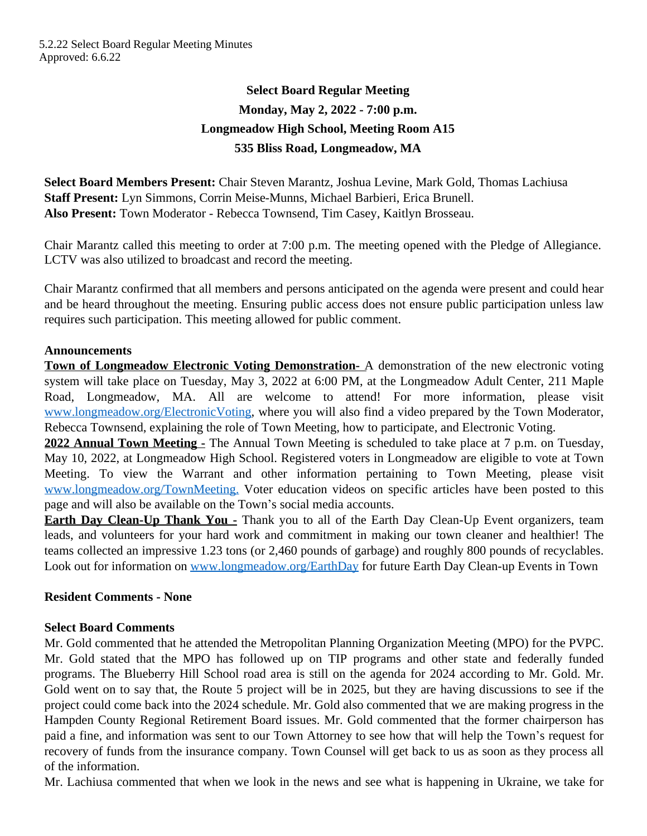# **Select Board Regular Meeting Monday, May 2, 2022 - 7:00 p.m. Longmeadow High School, Meeting Room A15 535 Bliss Road, Longmeadow, MA**

**Select Board Members Present:** Chair Steven Marantz, Joshua Levine, Mark Gold, Thomas Lachiusa **Staff Present:** Lyn Simmons, Corrin Meise-Munns, Michael Barbieri, Erica Brunell. **Also Present:** Town Moderator - Rebecca Townsend, Tim Casey, Kaitlyn Brosseau.

Chair Marantz called this meeting to order at 7:00 p.m. The meeting opened with the Pledge of Allegiance. LCTV was also utilized to broadcast and record the meeting.

Chair Marantz confirmed that all members and persons anticipated on the agenda were present and could hear and be heard throughout the meeting. Ensuring public access does not ensure public participation unless law requires such participation. This meeting allowed for public comment.

### **Announcements**

**Town of Longmeadow Electronic Voting Demonstration-** A demonstration of the new electronic voting system will take place on Tuesday, May 3, 2022 at 6:00 PM, at the Longmeadow Adult Center, 211 Maple Road, Longmeadow, MA. All are welcome to attend! For more information, please visit [www.longmeadow.org/ElectronicVoting,](file:///\\\\th01\\deptshare\\select\\MINUTES%20-%20Select%20Board\\FY%2022%20SB%20Minutes\\www.longmeadow.org\\ElectronicVoting) where you will also find a video prepared by the Town Moderator, Rebecca Townsend, explaining the role of Town Meeting, how to participate, and Electronic Voting.

**2022 Annual Town Meeting -** The Annual Town Meeting is scheduled to take place at 7 p.m. on Tuesday, May 10, 2022, at Longmeadow High School. Registered voters in Longmeadow are eligible to vote at Town Meeting. To view the Warrant and other information pertaining to Town Meeting, please visit [www.longmeadow.org/TownMeeting.](file:///\\\\th01\\deptshare\\select\\MINUTES%20-%20Select%20Board\\FY%2022%20SB%20Minutes\\www.longmeadow.org\\TownMeeting.) Voter education videos on specific articles have been posted to this page and will also be available on the Town's social media accounts.

**Earth Day Clean-Up Thank You -** Thank you to all of the Earth Day Clean-Up Event organizers, team leads, and volunteers for your hard work and commitment in making our town cleaner and healthier! The teams collected an impressive 1.23 tons (or 2,460 pounds of garbage) and roughly 800 pounds of recyclables. Look out for information on [www.longmeadow.org/EarthDay](file:///\\\\th01\\deptshare\\select\\MINUTES%20-%20Select%20Board\\FY%2022%20SB%20Minutes\\www.longmeadow.org\\EarthDay) for future Earth Day Clean-up Events in Town

# **Resident Comments - None**

# **Select Board Comments**

Mr. Gold commented that he attended the Metropolitan Planning Organization Meeting (MPO) for the PVPC. Mr. Gold stated that the MPO has followed up on TIP programs and other state and federally funded programs. The Blueberry Hill School road area is still on the agenda for 2024 according to Mr. Gold. Mr. Gold went on to say that, the Route 5 project will be in 2025, but they are having discussions to see if the project could come back into the 2024 schedule. Mr. Gold also commented that we are making progress in the Hampden County Regional Retirement Board issues. Mr. Gold commented that the former chairperson has paid a fine, and information was sent to our Town Attorney to see how that will help the Town's request for recovery of funds from the insurance company. Town Counsel will get back to us as soon as they process all of the information.

Mr. Lachiusa commented that when we look in the news and see what is happening in Ukraine, we take for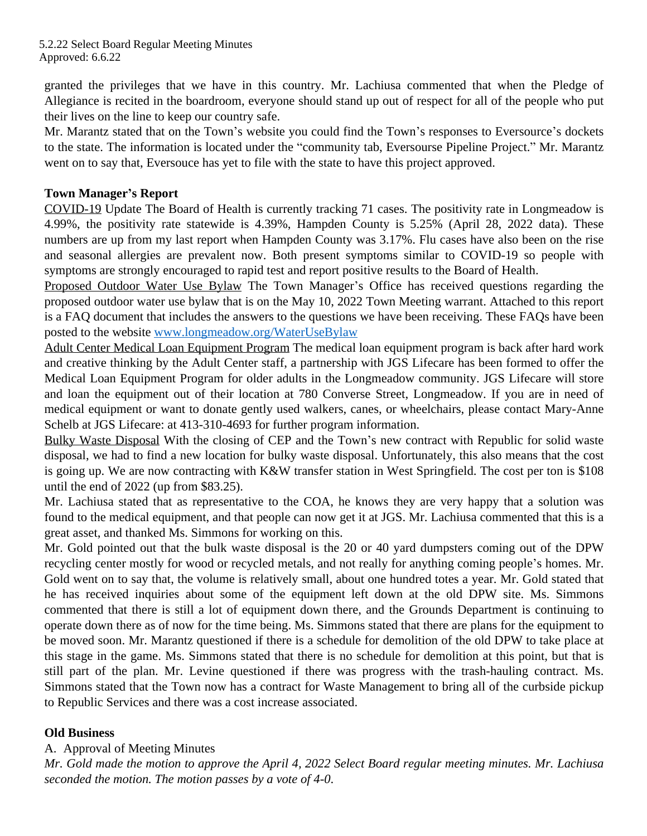granted the privileges that we have in this country. Mr. Lachiusa commented that when the Pledge of Allegiance is recited in the boardroom, everyone should stand up out of respect for all of the people who put their lives on the line to keep our country safe.

Mr. Marantz stated that on the Town's website you could find the Town's responses to Eversource's dockets to the state. The information is located under the "community tab, Eversourse Pipeline Project." Mr. Marantz went on to say that, Eversouce has yet to file with the state to have this project approved.

# **Town Manager's Report**

COVID-19 Update The Board of Health is currently tracking 71 cases. The positivity rate in Longmeadow is 4.99%, the positivity rate statewide is 4.39%, Hampden County is 5.25% (April 28, 2022 data). These numbers are up from my last report when Hampden County was 3.17%. Flu cases have also been on the rise and seasonal allergies are prevalent now. Both present symptoms similar to COVID-19 so people with symptoms are strongly encouraged to rapid test and report positive results to the Board of Health.

Proposed Outdoor Water Use Bylaw The Town Manager's Office has received questions regarding the proposed outdoor water use bylaw that is on the May 10, 2022 Town Meeting warrant. Attached to this report is a FAQ document that includes the answers to the questions we have been receiving. These FAQs have been posted to the website [www.longmeadow.org/WaterUseBylaw](file:///\\\\th01\\deptshare\\select\\MINUTES%20-%20Select%20Board\\FY%2022%20SB%20Minutes\\www.longmeadow.org\\WaterUseBylaw)

Adult Center Medical Loan Equipment Program The medical loan equipment program is back after hard work and creative thinking by the Adult Center staff, a partnership with JGS Lifecare has been formed to offer the Medical Loan Equipment Program for older adults in the Longmeadow community. JGS Lifecare will store and loan the equipment out of their location at 780 Converse Street, Longmeadow. If you are in need of medical equipment or want to donate gently used walkers, canes, or wheelchairs, please contact Mary-Anne Schelb at JGS Lifecare: at 413-310-4693 for further program information.

Bulky Waste Disposal With the closing of CEP and the Town's new contract with Republic for solid waste disposal, we had to find a new location for bulky waste disposal. Unfortunately, this also means that the cost is going up. We are now contracting with K&W transfer station in West Springfield. The cost per ton is \$108 until the end of 2022 (up from \$83.25).

Mr. Lachiusa stated that as representative to the COA, he knows they are very happy that a solution was found to the medical equipment, and that people can now get it at JGS. Mr. Lachiusa commented that this is a great asset, and thanked Ms. Simmons for working on this.

Mr. Gold pointed out that the bulk waste disposal is the 20 or 40 yard dumpsters coming out of the DPW recycling center mostly for wood or recycled metals, and not really for anything coming people's homes. Mr. Gold went on to say that, the volume is relatively small, about one hundred totes a year. Mr. Gold stated that he has received inquiries about some of the equipment left down at the old DPW site. Ms. Simmons commented that there is still a lot of equipment down there, and the Grounds Department is continuing to operate down there as of now for the time being. Ms. Simmons stated that there are plans for the equipment to be moved soon. Mr. Marantz questioned if there is a schedule for demolition of the old DPW to take place at this stage in the game. Ms. Simmons stated that there is no schedule for demolition at this point, but that is still part of the plan. Mr. Levine questioned if there was progress with the trash-hauling contract. Ms. Simmons stated that the Town now has a contract for Waste Management to bring all of the curbside pickup to Republic Services and there was a cost increase associated.

# **Old Business**

# A. Approval of Meeting Minutes

Mr. Gold made the motion to approve the April 4, 2022 Select Board regular meeting minutes. Mr. Lachiusa *seconded the motion. The motion passes by a vote of 4-0*.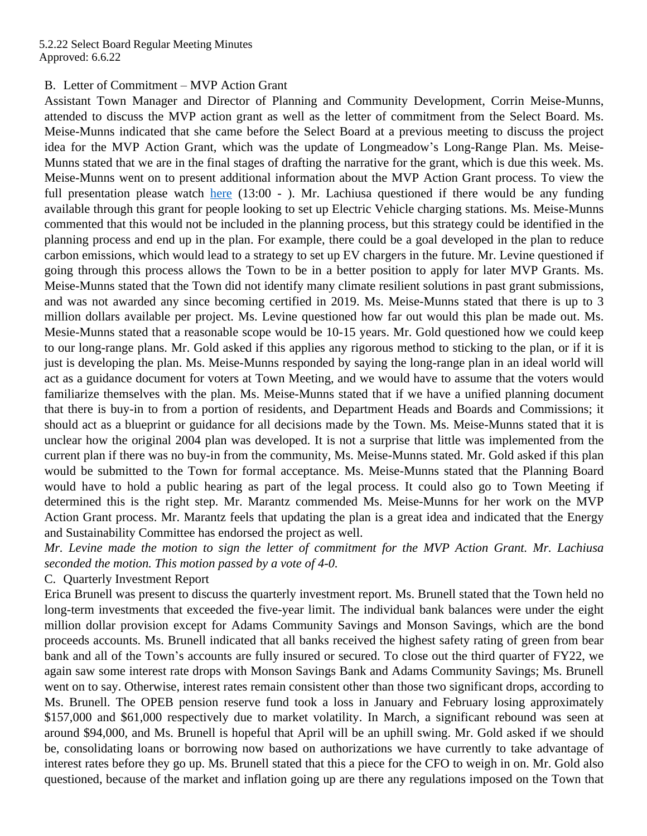#### B. Letter of Commitment – MVP Action Grant

Assistant Town Manager and Director of Planning and Community Development, Corrin Meise-Munns, attended to discuss the MVP action grant as well as the letter of commitment from the Select Board. Ms. Meise-Munns indicated that she came before the Select Board at a previous meeting to discuss the project idea for the MVP Action Grant, which was the update of Longmeadow's Long-Range Plan. Ms. Meise-Munns stated that we are in the final stages of drafting the narrative for the grant, which is due this week. Ms. Meise-Munns went on to present additional information about the MVP Action Grant process. To view the full presentation please watch [here](https://www.youtube.com/watch?v=Z3k0xdsCv0o)  $(13:00 - )$ . Mr. Lachiusa questioned if there would be any funding available through this grant for people looking to set up Electric Vehicle charging stations. Ms. Meise-Munns commented that this would not be included in the planning process, but this strategy could be identified in the planning process and end up in the plan. For example, there could be a goal developed in the plan to reduce carbon emissions, which would lead to a strategy to set up EV chargers in the future. Mr. Levine questioned if going through this process allows the Town to be in a better position to apply for later MVP Grants. Ms. Meise-Munns stated that the Town did not identify many climate resilient solutions in past grant submissions, and was not awarded any since becoming certified in 2019. Ms. Meise-Munns stated that there is up to 3 million dollars available per project. Ms. Levine questioned how far out would this plan be made out. Ms. Mesie-Munns stated that a reasonable scope would be 10-15 years. Mr. Gold questioned how we could keep to our long-range plans. Mr. Gold asked if this applies any rigorous method to sticking to the plan, or if it is just is developing the plan. Ms. Meise-Munns responded by saying the long-range plan in an ideal world will act as a guidance document for voters at Town Meeting, and we would have to assume that the voters would familiarize themselves with the plan. Ms. Meise-Munns stated that if we have a unified planning document that there is buy-in to from a portion of residents, and Department Heads and Boards and Commissions; it should act as a blueprint or guidance for all decisions made by the Town. Ms. Meise-Munns stated that it is unclear how the original 2004 plan was developed. It is not a surprise that little was implemented from the current plan if there was no buy-in from the community, Ms. Meise-Munns stated. Mr. Gold asked if this plan would be submitted to the Town for formal acceptance. Ms. Meise-Munns stated that the Planning Board would have to hold a public hearing as part of the legal process. It could also go to Town Meeting if determined this is the right step. Mr. Marantz commended Ms. Meise-Munns for her work on the MVP Action Grant process. Mr. Marantz feels that updating the plan is a great idea and indicated that the Energy and Sustainability Committee has endorsed the project as well.

*Mr. Levine made the motion to sign the letter of commitment for the MVP Action Grant. Mr. Lachiusa seconded the motion. This motion passed by a vote of 4-0.* 

#### C. Quarterly Investment Report

Erica Brunell was present to discuss the quarterly investment report. Ms. Brunell stated that the Town held no long-term investments that exceeded the five-year limit. The individual bank balances were under the eight million dollar provision except for Adams Community Savings and Monson Savings, which are the bond proceeds accounts. Ms. Brunell indicated that all banks received the highest safety rating of green from bear bank and all of the Town's accounts are fully insured or secured. To close out the third quarter of FY22, we again saw some interest rate drops with Monson Savings Bank and Adams Community Savings; Ms. Brunell went on to say. Otherwise, interest rates remain consistent other than those two significant drops, according to Ms. Brunell. The OPEB pension reserve fund took a loss in January and February losing approximately \$157,000 and \$61,000 respectively due to market volatility. In March, a significant rebound was seen at around \$94,000, and Ms. Brunell is hopeful that April will be an uphill swing. Mr. Gold asked if we should be, consolidating loans or borrowing now based on authorizations we have currently to take advantage of interest rates before they go up. Ms. Brunell stated that this a piece for the CFO to weigh in on. Mr. Gold also questioned, because of the market and inflation going up are there any regulations imposed on the Town that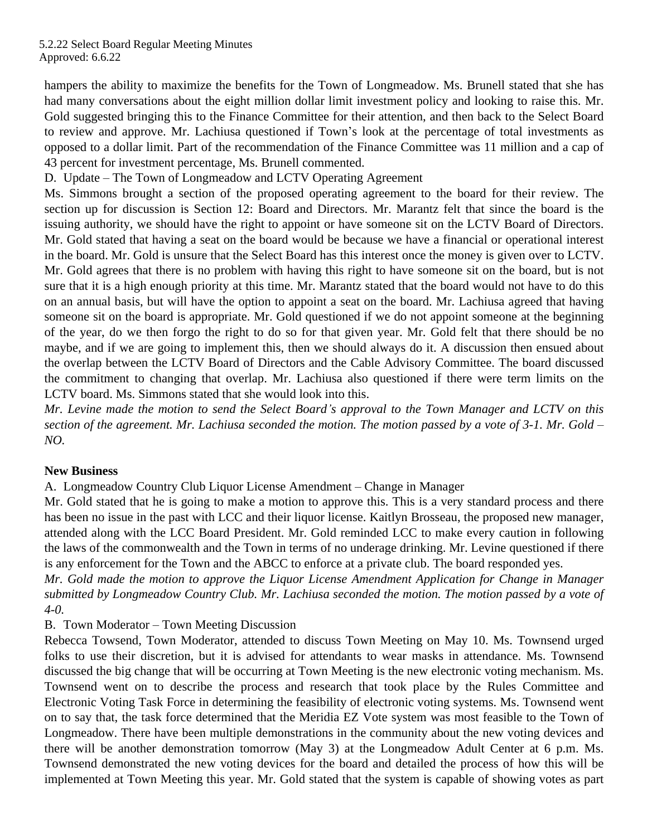hampers the ability to maximize the benefits for the Town of Longmeadow. Ms. Brunell stated that she has had many conversations about the eight million dollar limit investment policy and looking to raise this. Mr. Gold suggested bringing this to the Finance Committee for their attention, and then back to the Select Board to review and approve. Mr. Lachiusa questioned if Town's look at the percentage of total investments as opposed to a dollar limit. Part of the recommendation of the Finance Committee was 11 million and a cap of 43 percent for investment percentage, Ms. Brunell commented.

D. Update – The Town of Longmeadow and LCTV Operating Agreement

Ms. Simmons brought a section of the proposed operating agreement to the board for their review. The section up for discussion is Section 12: Board and Directors. Mr. Marantz felt that since the board is the issuing authority, we should have the right to appoint or have someone sit on the LCTV Board of Directors. Mr. Gold stated that having a seat on the board would be because we have a financial or operational interest in the board. Mr. Gold is unsure that the Select Board has this interest once the money is given over to LCTV. Mr. Gold agrees that there is no problem with having this right to have someone sit on the board, but is not sure that it is a high enough priority at this time. Mr. Marantz stated that the board would not have to do this on an annual basis, but will have the option to appoint a seat on the board. Mr. Lachiusa agreed that having someone sit on the board is appropriate. Mr. Gold questioned if we do not appoint someone at the beginning of the year, do we then forgo the right to do so for that given year. Mr. Gold felt that there should be no maybe, and if we are going to implement this, then we should always do it. A discussion then ensued about the overlap between the LCTV Board of Directors and the Cable Advisory Committee. The board discussed the commitment to changing that overlap. Mr. Lachiusa also questioned if there were term limits on the LCTV board. Ms. Simmons stated that she would look into this.

Mr. Levine made the motion to send the Select Board's approval to the Town Manager and LCTV on this section of the agreement. Mr. Lachiusa seconded the motion. The motion passed by a vote of 3-1. Mr. Gold – *NO.* 

# **New Business**

A. Longmeadow Country Club Liquor License Amendment – Change in Manager

Mr. Gold stated that he is going to make a motion to approve this. This is a very standard process and there has been no issue in the past with LCC and their liquor license. Kaitlyn Brosseau, the proposed new manager, attended along with the LCC Board President. Mr. Gold reminded LCC to make every caution in following the laws of the commonwealth and the Town in terms of no underage drinking. Mr. Levine questioned if there is any enforcement for the Town and the ABCC to enforce at a private club. The board responded yes.

*Mr. Gold made the motion to approve the Liquor License Amendment Application for Change in Manager submitted by Longmeadow Country Club. Mr. Lachiusa seconded the motion. The motion passed by a vote of 4-0.* 

# B. Town Moderator – Town Meeting Discussion

Rebecca Towsend, Town Moderator, attended to discuss Town Meeting on May 10. Ms. Townsend urged folks to use their discretion, but it is advised for attendants to wear masks in attendance. Ms. Townsend discussed the big change that will be occurring at Town Meeting is the new electronic voting mechanism. Ms. Townsend went on to describe the process and research that took place by the Rules Committee and Electronic Voting Task Force in determining the feasibility of electronic voting systems. Ms. Townsend went on to say that, the task force determined that the Meridia EZ Vote system was most feasible to the Town of Longmeadow. There have been multiple demonstrations in the community about the new voting devices and there will be another demonstration tomorrow (May 3) at the Longmeadow Adult Center at 6 p.m. Ms. Townsend demonstrated the new voting devices for the board and detailed the process of how this will be implemented at Town Meeting this year. Mr. Gold stated that the system is capable of showing votes as part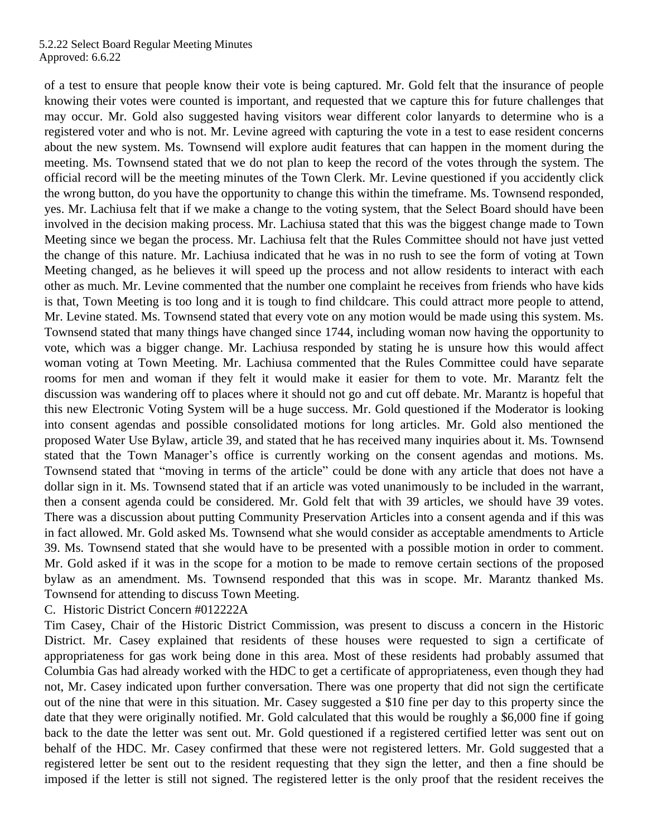of a test to ensure that people know their vote is being captured. Mr. Gold felt that the insurance of people knowing their votes were counted is important, and requested that we capture this for future challenges that may occur. Mr. Gold also suggested having visitors wear different color lanyards to determine who is a registered voter and who is not. Mr. Levine agreed with capturing the vote in a test to ease resident concerns about the new system. Ms. Townsend will explore audit features that can happen in the moment during the meeting. Ms. Townsend stated that we do not plan to keep the record of the votes through the system. The official record will be the meeting minutes of the Town Clerk. Mr. Levine questioned if you accidently click the wrong button, do you have the opportunity to change this within the timeframe. Ms. Townsend responded, yes. Mr. Lachiusa felt that if we make a change to the voting system, that the Select Board should have been involved in the decision making process. Mr. Lachiusa stated that this was the biggest change made to Town Meeting since we began the process. Mr. Lachiusa felt that the Rules Committee should not have just vetted the change of this nature. Mr. Lachiusa indicated that he was in no rush to see the form of voting at Town Meeting changed, as he believes it will speed up the process and not allow residents to interact with each other as much. Mr. Levine commented that the number one complaint he receives from friends who have kids is that, Town Meeting is too long and it is tough to find childcare. This could attract more people to attend, Mr. Levine stated. Ms. Townsend stated that every vote on any motion would be made using this system. Ms. Townsend stated that many things have changed since 1744, including woman now having the opportunity to vote, which was a bigger change. Mr. Lachiusa responded by stating he is unsure how this would affect woman voting at Town Meeting. Mr. Lachiusa commented that the Rules Committee could have separate rooms for men and woman if they felt it would make it easier for them to vote. Mr. Marantz felt the discussion was wandering off to places where it should not go and cut off debate. Mr. Marantz is hopeful that this new Electronic Voting System will be a huge success. Mr. Gold questioned if the Moderator is looking into consent agendas and possible consolidated motions for long articles. Mr. Gold also mentioned the proposed Water Use Bylaw, article 39, and stated that he has received many inquiries about it. Ms. Townsend stated that the Town Manager's office is currently working on the consent agendas and motions. Ms. Townsend stated that "moving in terms of the article" could be done with any article that does not have a dollar sign in it. Ms. Townsend stated that if an article was voted unanimously to be included in the warrant, then a consent agenda could be considered. Mr. Gold felt that with 39 articles, we should have 39 votes. There was a discussion about putting Community Preservation Articles into a consent agenda and if this was in fact allowed. Mr. Gold asked Ms. Townsend what she would consider as acceptable amendments to Article 39. Ms. Townsend stated that she would have to be presented with a possible motion in order to comment. Mr. Gold asked if it was in the scope for a motion to be made to remove certain sections of the proposed bylaw as an amendment. Ms. Townsend responded that this was in scope. Mr. Marantz thanked Ms. Townsend for attending to discuss Town Meeting.

#### C. Historic District Concern #012222A

Tim Casey, Chair of the Historic District Commission, was present to discuss a concern in the Historic District. Mr. Casey explained that residents of these houses were requested to sign a certificate of appropriateness for gas work being done in this area. Most of these residents had probably assumed that Columbia Gas had already worked with the HDC to get a certificate of appropriateness, even though they had not, Mr. Casey indicated upon further conversation. There was one property that did not sign the certificate out of the nine that were in this situation. Mr. Casey suggested a \$10 fine per day to this property since the date that they were originally notified. Mr. Gold calculated that this would be roughly a \$6,000 fine if going back to the date the letter was sent out. Mr. Gold questioned if a registered certified letter was sent out on behalf of the HDC. Mr. Casey confirmed that these were not registered letters. Mr. Gold suggested that a registered letter be sent out to the resident requesting that they sign the letter, and then a fine should be imposed if the letter is still not signed. The registered letter is the only proof that the resident receives the